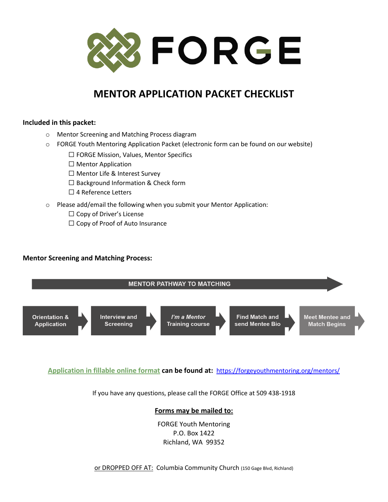

## **MENTOR APPLICATION PACKET CHECKLIST**

#### **Included in this packet:**

- o Mentor Screening and Matching Process diagram
- o FORGE Youth Mentoring Application Packet (electronic form can be found on our website)
	- ☐ FORGE Mission, Values, Mentor Specifics
	- ☐ Mentor Application
	- ☐ Mentor Life & Interest Survey
	- ☐ Background Information & Check form
	- ☐ 4 Reference Letters
- o Please add/email the following when you submit your Mentor Application:
	- ☐ Copy of Driver's License
	- ☐ Copy of Proof of Auto Insurance

#### **Mentor Screening and Matching Process:**



#### **Application in fillable online format can be found at:** <https://forgeyouthmentoring.org/mentors/>

If you have any questions, please call the FORGE Office at 509 438-1918

#### **Forms may be mailed to:**

FORGE Youth Mentoring P.O. Box 1422 Richland, WA 99352

or DROPPED OFF AT: Columbia Community Church (150 Gage Blvd, Richland)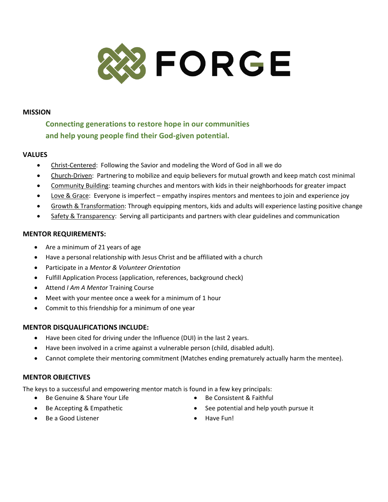

#### **MISSION**

**Connecting generations to restore hope in our communities and help young people find their God-given potential.**

#### **VALUES**

- Christ-Centered: Following the Savior and modeling the Word of God in all we do
- Church-Driven: Partnering to mobilize and equip believers for mutual growth and keep match cost minimal
- Community Building: teaming churches and mentors with kids in their neighborhoods for greater impact
- Love & Grace: Everyone is imperfect empathy inspires mentors and mentees to join and experience joy
- Growth & Transformation: Through equipping mentors, kids and adults will experience lasting positive change
- Safety & Transparency: Serving all participants and partners with clear guidelines and communication

#### **MENTOR REQUIREMENTS:**

- Are a minimum of 21 years of age
- Have a personal relationship with Jesus Christ and be affiliated with a church
- Participate in a *Mentor & Volunteer Orientation*
- Fulfill Application Process (application, references, background check)
- Attend *I Am A Mentor* Training Course
- Meet with your mentee once a week for a minimum of 1 hour
- Commit to this friendship for a minimum of one year

#### **MENTOR DISQUALIFICATIONS INCLUDE:**

- Have been cited for driving under the Influence (DUI) in the last 2 years.
- Have been involved in a crime against a vulnerable person (child, disabled adult).
- Cannot complete their mentoring commitment (Matches ending prematurely actually harm the mentee).

#### **MENTOR OBJECTIVES**

The keys to a successful and empowering mentor match is found in a few key principals:

- Be Genuine & Share Your Life
- Be Accepting & Empathetic
- Be Consistent & Faithful
- See potential and help youth pursue it

• Be a Good Listener

• Have Fun!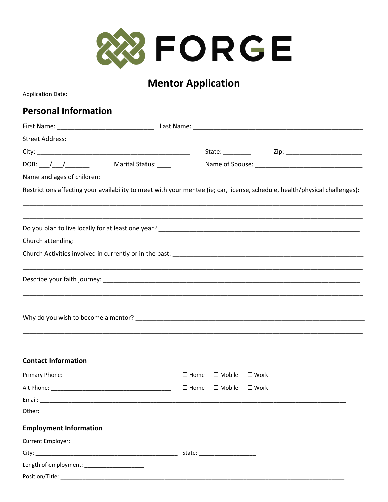

# **Mentor Application**

| Application Date: _________________                                                                                         |                |                                                |                |  |  |  |  |  |
|-----------------------------------------------------------------------------------------------------------------------------|----------------|------------------------------------------------|----------------|--|--|--|--|--|
| <b>Personal Information</b>                                                                                                 |                |                                                |                |  |  |  |  |  |
|                                                                                                                             |                |                                                |                |  |  |  |  |  |
|                                                                                                                             |                |                                                |                |  |  |  |  |  |
|                                                                                                                             |                |                                                |                |  |  |  |  |  |
|                                                                                                                             |                |                                                |                |  |  |  |  |  |
|                                                                                                                             |                |                                                |                |  |  |  |  |  |
| Restrictions affecting your availability to meet with your mentee (ie; car, license, schedule, health/physical challenges): |                |                                                |                |  |  |  |  |  |
|                                                                                                                             |                |                                                |                |  |  |  |  |  |
|                                                                                                                             |                |                                                |                |  |  |  |  |  |
|                                                                                                                             |                |                                                |                |  |  |  |  |  |
|                                                                                                                             |                |                                                |                |  |  |  |  |  |
|                                                                                                                             |                |                                                |                |  |  |  |  |  |
|                                                                                                                             |                |                                                |                |  |  |  |  |  |
|                                                                                                                             |                |                                                |                |  |  |  |  |  |
|                                                                                                                             |                |                                                |                |  |  |  |  |  |
| <b>Contact Information</b>                                                                                                  |                |                                                |                |  |  |  |  |  |
| Primary Phone: _____________                                                                                                |                | $\square$ Home $\square$ Mobile $\square$ Work |                |  |  |  |  |  |
|                                                                                                                             | $\square$ Home | $\square$ Mobile                               | $\square$ Work |  |  |  |  |  |
|                                                                                                                             |                |                                                |                |  |  |  |  |  |
|                                                                                                                             |                |                                                |                |  |  |  |  |  |
| <b>Employment Information</b>                                                                                               |                |                                                |                |  |  |  |  |  |
|                                                                                                                             |                |                                                |                |  |  |  |  |  |
|                                                                                                                             |                |                                                |                |  |  |  |  |  |
| Length of employment: ______________________                                                                                |                |                                                |                |  |  |  |  |  |
| Position/Title:                                                                                                             |                |                                                |                |  |  |  |  |  |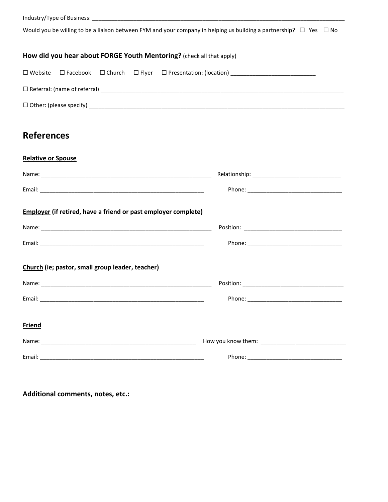Industry/Type of Business: \_\_\_\_\_\_\_\_\_\_\_\_\_\_\_\_\_\_\_\_\_\_\_\_\_\_\_\_\_\_\_\_\_\_\_\_\_\_\_\_\_\_\_\_\_\_\_\_\_\_\_\_\_\_\_\_\_\_\_\_\_\_\_\_\_\_\_\_\_\_\_\_\_\_\_\_\_\_\_\_

Would you be willing to be a liaison between FYM and your company in helping us building a partnership? □ Yes □ No

#### **How did you hear about FORGE Youth Mentoring?** (check all that apply)

|                                          |  | $\square$ Referral: (name of referral) |
|------------------------------------------|--|----------------------------------------|
| $\Box$ Other: (please specify) _________ |  |                                        |

### **References**

#### **Relative or Spouse**

| <b>Employer</b> (if retired, have a friend or past employer complete) |  |
|-----------------------------------------------------------------------|--|
|                                                                       |  |
|                                                                       |  |
| Church (ie; pastor, small group leader, teacher)                      |  |
|                                                                       |  |
|                                                                       |  |
| <b>Friend</b>                                                         |  |
|                                                                       |  |
|                                                                       |  |

**Additional comments, notes, etc.:**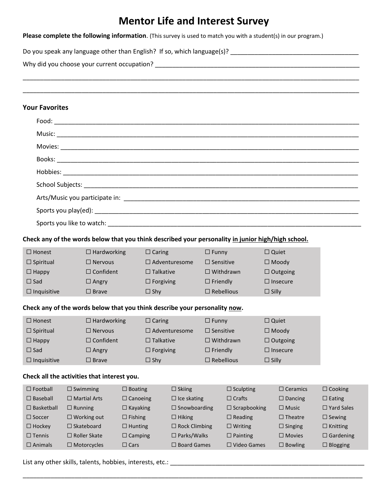### **Mentor Life and Interest Survey**

\_\_\_\_\_\_\_\_\_\_\_\_\_\_\_\_\_\_\_\_\_\_\_\_\_\_\_\_\_\_\_\_\_\_\_\_\_\_\_\_\_\_\_\_\_\_\_\_\_\_\_\_\_\_\_\_\_\_\_\_\_\_\_\_\_\_\_\_\_\_\_\_\_\_\_\_\_\_\_\_\_\_\_\_\_\_\_\_\_\_\_\_\_\_\_\_\_

\_\_\_\_\_\_\_\_\_\_\_\_\_\_\_\_\_\_\_\_\_\_\_\_\_\_\_\_\_\_\_\_\_\_\_\_\_\_\_\_\_\_\_\_\_\_\_\_\_\_\_\_\_\_\_\_\_\_\_\_\_\_\_\_\_\_\_\_\_\_\_\_\_\_\_\_\_\_\_\_\_\_\_\_\_\_\_\_\_\_\_\_\_\_\_\_\_

**Please complete the following information**. (This survey is used to match you with a student(s) in our program.)

Do you speak any language other than English? If so, which language(s)? \_\_\_\_\_\_\_\_\_\_\_\_\_\_\_\_\_\_\_\_\_\_\_\_\_\_\_\_\_\_\_\_\_\_\_\_\_

Why did you choose your current occupation? \_\_\_\_\_\_\_\_\_\_\_\_\_\_\_\_\_\_\_\_\_\_\_\_\_\_\_\_\_\_\_\_\_\_\_\_\_\_\_\_\_\_\_\_\_\_\_\_\_\_\_\_\_\_\_\_\_\_\_

#### **Your Favorites**

| Check any of the words below that you think described your personality in junior high/high school. |                 |                                          |                 |                      |                       |                     |                    |              |                   |                   |
|----------------------------------------------------------------------------------------------------|-----------------|------------------------------------------|-----------------|----------------------|-----------------------|---------------------|--------------------|--------------|-------------------|-------------------|
| $\Box$ Honest                                                                                      |                 | $\Box$ Hardworking                       |                 | $\Box$ Caring        |                       | $\Box$ Funny        |                    | $\Box$ Quiet |                   |                   |
| $\Box$ Spiritual                                                                                   |                 | $\Box$ Nervous                           |                 |                      | $\Box$ Adventuresome  | $\Box$ Sensitive    |                    |              | $\Box$ Moody      |                   |
| $\Box$ Happy                                                                                       |                 | $\Box$ Confident                         |                 | $\Box$ Talkative     |                       |                     | $\Box$ Withdrawn   |              | $\Box$ Outgoing   |                   |
| $\Box$ Sad                                                                                         |                 | $\Box$ Angry                             |                 | $\Box$ Forgiving     |                       | $\Box$ Friendly     |                    |              | $\Box$ Insecure   |                   |
| $\Box$ Inquisitive                                                                                 |                 | $\Box$ Brave                             |                 | $\Box$ Shy           |                       | $\Box$ Rebellious   |                    | $\Box$ Silly |                   |                   |
| Check any of the words below that you think describe your personality now.                         |                 |                                          |                 |                      |                       |                     |                    |              |                   |                   |
| $\Box$ Honest                                                                                      |                 | $\Box$ Hardworking                       |                 | $\Box$ Caring        |                       | $\Box$ Funny        |                    | $\Box$ Quiet |                   |                   |
| $\Box$ Spiritual                                                                                   |                 | $\Box$ Nervous                           |                 |                      | $\Box$ Adventuresome  | $\Box$ Sensitive    |                    |              | $\Box$ Moody      |                   |
| $\Box$ Happy                                                                                       |                 | $\Box$ Confident                         |                 | $\Box$ Talkative     |                       |                     | $\Box$ Withdrawn   |              | $\Box$ Outgoing   |                   |
| $\Box$ Sad                                                                                         |                 | $\Box$ Angry                             |                 | $\Box$ Forgiving     |                       | $\Box$ Friendly     |                    |              | $\Box$ Insecure   |                   |
| $\Box$ Inquisitive                                                                                 |                 | $\Box$ Brave                             |                 | $\Box$ Shy           |                       | $\Box$ Rebellious   |                    | $\Box$ Silly |                   |                   |
| Check all the activities that interest you.                                                        |                 |                                          |                 |                      |                       |                     |                    |              |                   |                   |
| $\Box$ Football                                                                                    | $\Box$ Swimming |                                          | $\Box$ Boating  |                      | $\Box$ Skiing         |                     | $\Box$ Sculpting   |              | $\Box$ Ceramics   | $\Box$ Cooking    |
| $\square$ Baseball                                                                                 |                 | $\Box$ Martial Arts                      | $\Box$ Canoeing |                      | $\Box$ Ice skating    |                     | $\Box$ Crafts      |              | $\square$ Dancing | $\square$ Eating  |
| $\Box$ Basketball                                                                                  | $\Box$ Running  | $\Box$ Kayaking                          |                 | $\Box$ Snowboarding  |                       | $\Box$ Scrapbooking |                    |              | $\square$ Music   | $\Box$ Yard Sales |
| $\Box$ Soccer                                                                                      |                 | $\Box$ Working out                       | $\Box$ Fishing  |                      | $\Box$ Hiking         |                     | $\Box$ Reading     |              | $\Box$ Theatre    | $\Box$ Sewing     |
| $\Box$ Hockey                                                                                      |                 | $\Box$ Skateboard                        | $\Box$ Hunting  | $\Box$ Rock Climbing |                       |                     | $\square$ Writing  |              | $\Box$ Singing    | $\Box$ Knitting   |
| $\Box$ Tennis                                                                                      |                 | $\square$ Roller Skate<br>$\Box$ Camping |                 |                      | $\square$ Parks/Walks |                     | $\square$ Painting |              | $\square$ Movies  | $\Box$ Gardening  |
| $\Box$ Animals                                                                                     |                 | $\Box$ Motorcycles                       | $\Box$ Cars     |                      | $\Box$ Board Games    |                     | $\Box$ Video Games |              | $\Box$ Bowling    | $\Box$ Blogging   |
|                                                                                                    |                 |                                          |                 |                      |                       |                     |                    |              |                   |                   |

\_\_\_\_\_\_\_\_\_\_\_\_\_\_\_\_\_\_\_\_\_\_\_\_\_\_\_\_\_\_\_\_\_\_\_\_\_\_\_\_\_\_\_\_\_\_\_\_\_\_\_\_\_\_\_\_\_\_\_\_\_\_\_\_\_\_\_\_\_\_\_\_\_\_\_\_\_\_\_\_\_\_\_\_\_\_\_\_\_\_\_\_\_\_\_\_\_\_

List any other skills, talents, hobbies, interests, etc.: \_\_\_\_\_\_\_\_\_\_\_\_\_\_\_\_\_\_\_\_\_\_\_\_\_\_\_\_\_\_\_\_\_\_\_\_\_\_\_\_\_\_\_\_\_\_\_\_\_\_\_\_\_\_\_\_